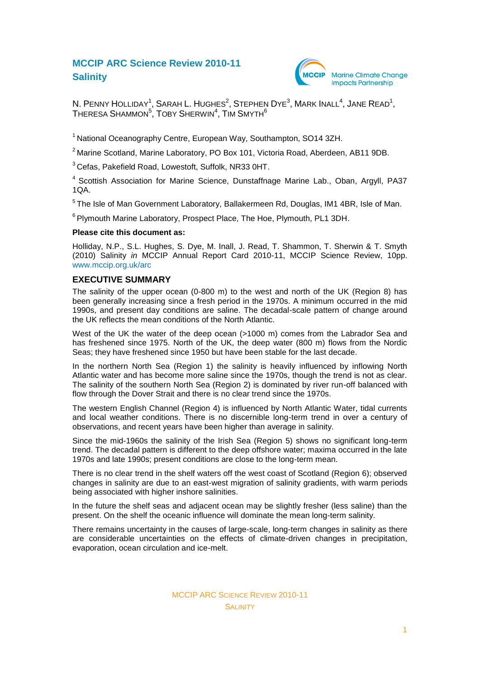# **MCCIP ARC Science Review 2010-11 Salinity**



N. PENNY HOLLIDAY<sup>1</sup>, SARAH L. HUGHES<sup>2</sup>, STEPHEN DYE<sup>3</sup>, MARK INALL<sup>4</sup>, JANE READ<sup>1</sup>,  ${\sf ThERESA\ ShAMMON}^5,$   ${\sf TOBY\ ShERWIN}^4,$   ${\sf TIM\ SMYTH}^6$ 

<sup>1</sup> National Oceanography Centre, European Way, Southampton, SO14 3ZH.

<sup>2</sup> Marine Scotland, Marine Laboratory, PO Box 101, Victoria Road, Aberdeen, AB11 9DB.

<sup>3</sup> Cefas, Pakefield Road, Lowestoft, Suffolk, NR33 0HT.

<sup>4</sup> Scottish Association for Marine Science, Dunstaffnage Marine Lab., Oban, Argyll, PA37 1QA.

<sup>5</sup> The Isle of Man Government Laboratory, Ballakermeen Rd, Douglas, IM1 4BR, Isle of Man.

<sup>6</sup> Plymouth Marine Laboratory, Prospect Place, The Hoe, Plymouth, PL1 3DH.

#### **Please cite this document as:**

Holliday, N.P., S.L. Hughes, S. Dye, M. Inall, J. Read, T. Shammon, T. Sherwin & T. Smyth (2010) Salinity *in* MCCIP Annual Report Card 2010-11, MCCIP Science Review, 10pp. [www.mccip.org.uk/arc](http://www.mccip.org.uk/arc)

### **EXECUTIVE SUMMARY**

The salinity of the upper ocean (0-800 m) to the west and north of the UK (Region 8) has been generally increasing since a fresh period in the 1970s. A minimum occurred in the mid 1990s, and present day conditions are saline. The decadal-scale pattern of change around the UK reflects the mean conditions of the North Atlantic.

West of the UK the water of the deep ocean (>1000 m) comes from the Labrador Sea and has freshened since 1975. North of the UK, the deep water (800 m) flows from the Nordic Seas; they have freshened since 1950 but have been stable for the last decade.

In the northern North Sea (Region 1) the salinity is heavily influenced by inflowing North Atlantic water and has become more saline since the 1970s, though the trend is not as clear. The salinity of the southern North Sea (Region 2) is dominated by river run-off balanced with flow through the Dover Strait and there is no clear trend since the 1970s.

The western English Channel (Region 4) is influenced by North Atlantic Water, tidal currents and local weather conditions. There is no discernible long-term trend in over a century of observations, and recent years have been higher than average in salinity.

Since the mid-1960s the salinity of the Irish Sea (Region 5) shows no significant long-term trend. The decadal pattern is different to the deep offshore water; maxima occurred in the late 1970s and late 1990s; present conditions are close to the long-term mean.

There is no clear trend in the shelf waters off the west coast of Scotland (Region 6); observed changes in salinity are due to an east-west migration of salinity gradients, with warm periods being associated with higher inshore salinities.

In the future the shelf seas and adjacent ocean may be slightly fresher (less saline) than the present. On the shelf the oceanic influence will dominate the mean long-term salinity.

There remains uncertainty in the causes of large-scale, long-term changes in salinity as there are considerable uncertainties on the effects of climate-driven changes in precipitation, evaporation, ocean circulation and ice-melt.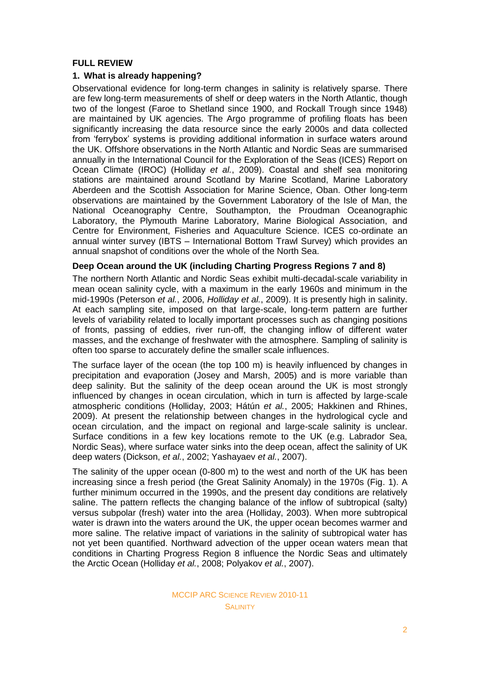# **FULL REVIEW**

# **1. What is already happening?**

Observational evidence for long-term changes in salinity is relatively sparse. There are few long-term measurements of shelf or deep waters in the North Atlantic, though two of the longest (Faroe to Shetland since 1900, and Rockall Trough since 1948) are maintained by UK agencies. The Argo programme of profiling floats has been significantly increasing the data resource since the early 2000s and data collected from 'ferrybox' systems is providing additional information in surface waters around the UK. Offshore observations in the North Atlantic and Nordic Seas are summarised annually in the International Council for the Exploration of the Seas (ICES) Report on Ocean Climate (IROC) (Holliday *et al.*, 2009). Coastal and shelf sea monitoring stations are maintained around Scotland by Marine Scotland, Marine Laboratory Aberdeen and the Scottish Association for Marine Science, Oban. Other long-term observations are maintained by the Government Laboratory of the Isle of Man, the National Oceanography Centre, Southampton, the Proudman Oceanographic Laboratory, the Plymouth Marine Laboratory, Marine Biological Association, and Centre for Environment, Fisheries and Aquaculture Science. ICES co-ordinate an annual winter survey (IBTS – International Bottom Trawl Survey) which provides an annual snapshot of conditions over the whole of the North Sea.

# **Deep Ocean around the UK (including Charting Progress Regions 7 and 8)**

The northern North Atlantic and Nordic Seas exhibit multi-decadal-scale variability in mean ocean salinity cycle, with a maximum in the early 1960s and minimum in the mid-1990s (Peterson *et al.*, 2006, *Holliday et al.*, 2009). It is presently high in salinity. At each sampling site, imposed on that large-scale, long-term pattern are further levels of variability related to locally important processes such as changing positions of fronts, passing of eddies, river run-off, the changing inflow of different water masses, and the exchange of freshwater with the atmosphere. Sampling of salinity is often too sparse to accurately define the smaller scale influences.

The surface layer of the ocean (the top 100 m) is heavily influenced by changes in precipitation and evaporation (Josey and Marsh, 2005) and is more variable than deep salinity. But the salinity of the deep ocean around the UK is most strongly influenced by changes in ocean circulation, which in turn is affected by large-scale atmospheric conditions (Holliday, 2003; Hátún *et al.*, 2005; Hakkinen and Rhines, 2009). At present the relationship between changes in the hydrological cycle and ocean circulation, and the impact on regional and large-scale salinity is unclear. Surface conditions in a few key locations remote to the UK (e.g. Labrador Sea, Nordic Seas), where surface water sinks into the deep ocean, affect the salinity of UK deep waters (Dickson, *et al.*, 2002; Yashayaev *et al.*, 2007).

The salinity of the upper ocean (0-800 m) to the west and north of the UK has been increasing since a fresh period (the Great Salinity Anomaly) in the 1970s (Fig. 1). A further minimum occurred in the 1990s, and the present day conditions are relatively saline. The pattern reflects the changing balance of the inflow of subtropical (salty) versus subpolar (fresh) water into the area (Holliday, 2003). When more subtropical water is drawn into the waters around the UK, the upper ocean becomes warmer and more saline. The relative impact of variations in the salinity of subtropical water has not yet been quantified. Northward advection of the upper ocean waters mean that conditions in Charting Progress Region 8 influence the Nordic Seas and ultimately the Arctic Ocean (Holliday *et al.*, 2008; Polyakov *et al.*, 2007).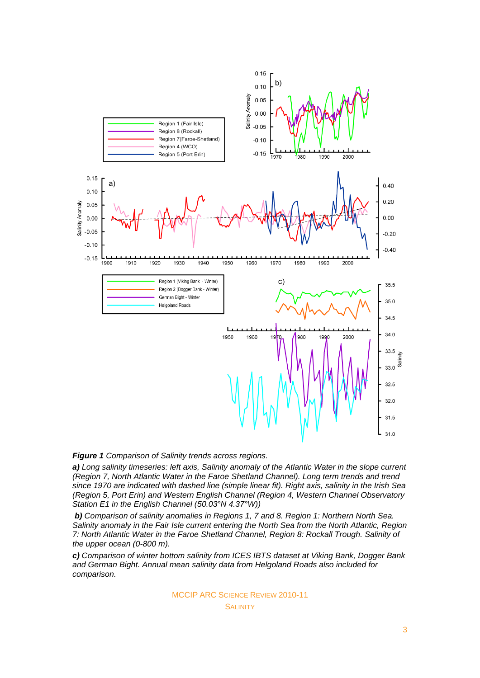

*Figure 1 Comparison of Salinity trends across regions.*

*a) Long salinity timeseries: left axis, Salinity anomaly of the Atlantic Water in the slope current (Region 7, North Atlantic Water in the Faroe Shetland Channel). Long term trends and trend since 1970 are indicated with dashed line (simple linear fit). Right axis, salinity in the Irish Sea (Region 5, Port Erin) and Western English Channel (Region 4, Western Channel Observatory Station E1 in the English Channel (50.03°N 4.37°W))* 

*b) Comparison of salinity anomalies in Regions 1, 7 and 8. Region 1: Northern North Sea. Salinity anomaly in the Fair Isle current entering the North Sea from the North Atlantic, Region 7: North Atlantic Water in the Faroe Shetland Channel, Region 8: Rockall Trough. Salinity of the upper ocean (0-800 m).* 

*c) Comparison of winter bottom salinity from ICES IBTS dataset at Viking Bank, Dogger Bank and German Bight. Annual mean salinity data from Helgoland Roads also included for comparison.*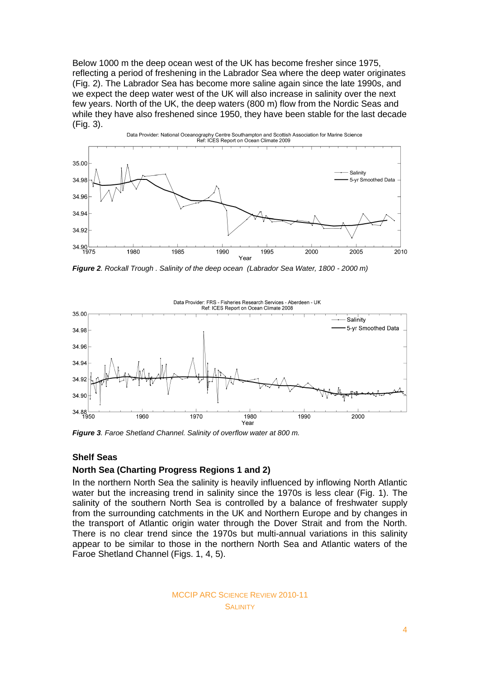Below 1000 m the deep ocean west of the UK has become fresher since 1975, reflecting a period of freshening in the Labrador Sea where the deep water originates (Fig. 2). The Labrador Sea has become more saline again since the late 1990s, and we expect the deep water west of the UK will also increase in salinity over the next few years. North of the UK, the deep waters (800 m) flow from the Nordic Seas and while they have also freshened since 1950, they have been stable for the last decade (Fig. 3).



*Figure 2. Rockall Trough . Salinity of the deep ocean (Labrador Sea Water, 1800 - 2000 m)*



*Figure 3. Faroe Shetland Channel. Salinity of overflow water at 800 m.*

# **Shelf Seas**

### **North Sea (Charting Progress Regions 1 and 2)**

In the northern North Sea the salinity is heavily influenced by inflowing North Atlantic water but the increasing trend in salinity since the 1970s is less clear (Fig. 1). The salinity of the southern North Sea is controlled by a balance of freshwater supply from the surrounding catchments in the UK and Northern Europe and by changes in the transport of Atlantic origin water through the Dover Strait and from the North. There is no clear trend since the 1970s but multi-annual variations in this salinity appear to be similar to those in the northern North Sea and Atlantic waters of the Faroe Shetland Channel (Figs. 1, 4, 5).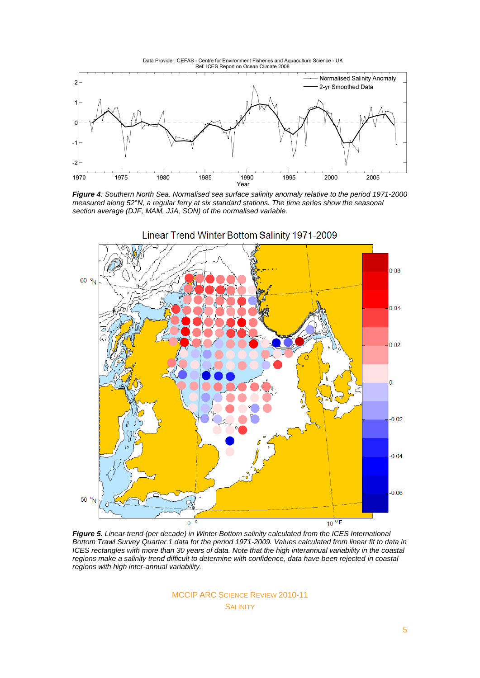



*Figure 4: Southern North Sea. Normalised sea surface salinity anomaly relative to the period 1971-2000 measured along 52°N, a regular ferry at six standard stations. The time series show the seasonal section average (DJF, MAM, JJA, SON) of the normalised variable.* 



*Figure 5. Linear trend (per decade) in Winter Bottom salinity calculated from the ICES International Bottom Trawl Survey Quarter 1 data for the period 1971-2009. Values calculated from linear fit to data in ICES rectangles with more than 30 years of data. Note that the high interannual variability in the coastal regions make a salinity trend difficult to determine with confidence, data have been rejected in coastal regions with high inter-annual variability.*

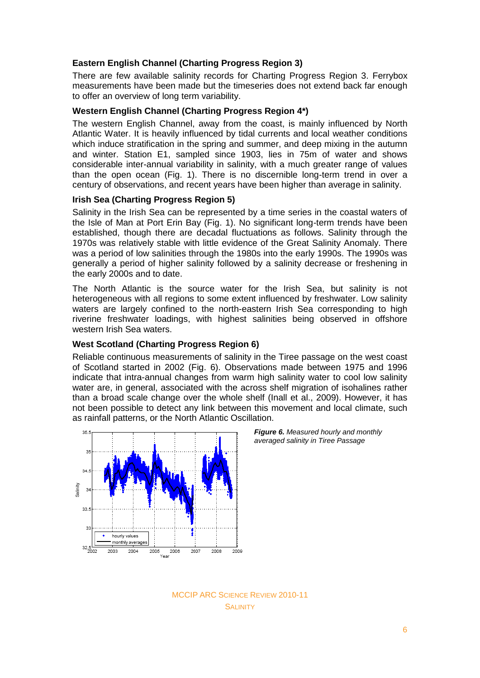# **Eastern English Channel (Charting Progress Region 3)**

There are few available salinity records for Charting Progress Region 3. Ferrybox measurements have been made but the timeseries does not extend back far enough to offer an overview of long term variability.

# **Western English Channel (Charting Progress Region 4\*)**

The western English Channel, away from the coast, is mainly influenced by North Atlantic Water. It is heavily influenced by tidal currents and local weather conditions which induce stratification in the spring and summer, and deep mixing in the autumn and winter. Station E1, sampled since 1903, lies in 75m of water and shows considerable inter-annual variability in salinity, with a much greater range of values than the open ocean (Fig. 1). There is no discernible long-term trend in over a century of observations, and recent years have been higher than average in salinity.

# **Irish Sea (Charting Progress Region 5)**

Salinity in the Irish Sea can be represented by a time series in the coastal waters of the Isle of Man at Port Erin Bay (Fig. 1). No significant long-term trends have been established, though there are decadal fluctuations as follows. Salinity through the 1970s was relatively stable with little evidence of the Great Salinity Anomaly. There was a period of low salinities through the 1980s into the early 1990s. The 1990s was generally a period of higher salinity followed by a salinity decrease or freshening in the early 2000s and to date.

The North Atlantic is the source water for the Irish Sea, but salinity is not heterogeneous with all regions to some extent influenced by freshwater. Low salinity waters are largely confined to the north-eastern Irish Sea corresponding to high riverine freshwater loadings, with highest salinities being observed in offshore western Irish Sea waters.

# **West Scotland (Charting Progress Region 6)**

Reliable continuous measurements of salinity in the Tiree passage on the west coast of Scotland started in 2002 (Fig. 6). Observations made between 1975 and 1996 indicate that intra-annual changes from warm high salinity water to cool low salinity water are, in general, associated with the across shelf migration of isohalines rather than a broad scale change over the whole shelf (Inall et al., 2009). However, it has not been possible to detect any link between this movement and local climate, such as rainfall patterns, or the North Atlantic Oscillation.





MCCIP ARC SCIENCE REVIEW 2010-11 SALINITY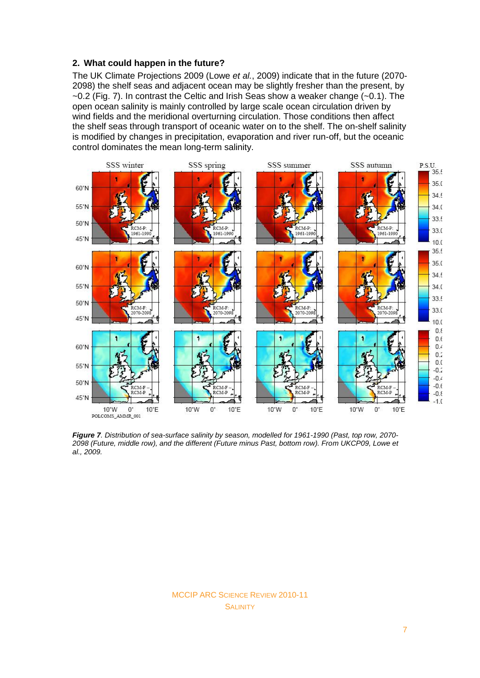# **2. What could happen in the future?**

The UK Climate Projections 2009 (Lowe *et al.*, 2009) indicate that in the future (2070- 2098) the shelf seas and adjacent ocean may be slightly fresher than the present, by  $\sim$ 0.2 (Fig. 7). In contrast the Celtic and Irish Seas show a weaker change ( $\sim$ 0.1). The open ocean salinity is mainly controlled by large scale ocean circulation driven by wind fields and the meridional overturning circulation. Those conditions then affect the shelf seas through transport of oceanic water on to the shelf. The on-shelf salinity is modified by changes in precipitation, evaporation and river run-off, but the oceanic control dominates the mean long-term salinity.



*Figure 7. Distribution of sea-surface salinity by season, modelled for 1961-1990 (Past, top row, 2070- 2098 (Future, middle row), and the different (Future minus Past, bottom row). From UKCP09, Lowe et al., 2009.*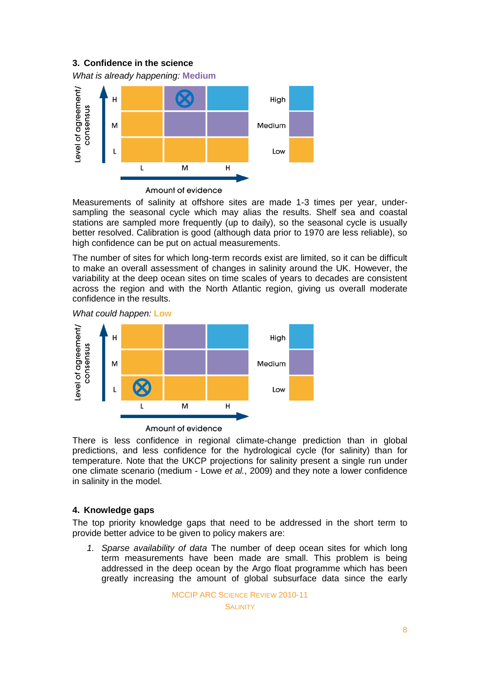# **3. Confidence in the science**

*What is already happening:* **Medium**



Amount of evidence

Measurements of salinity at offshore sites are made 1-3 times per year, undersampling the seasonal cycle which may alias the results. Shelf sea and coastal stations are sampled more frequently (up to daily), so the seasonal cycle is usually better resolved. Calibration is good (although data prior to 1970 are less reliable), so high confidence can be put on actual measurements.

The number of sites for which long-term records exist are limited, so it can be difficult to make an overall assessment of changes in salinity around the UK. However, the variability at the deep ocean sites on time scales of years to decades are consistent across the region and with the North Atlantic region, giving us overall moderate confidence in the results.

*What could happen:* **Low**



Amount of evidence

There is less confidence in regional climate-change prediction than in global predictions, and less confidence for the hydrological cycle (for salinity) than for temperature. Note that the UKCP projections for salinity present a single run under one climate scenario (medium - Lowe *et al.*, 2009) and they note a lower confidence in salinity in the model.

# **4. Knowledge gaps**

The top priority knowledge gaps that need to be addressed in the short term to provide better advice to be given to policy makers are:

*1. Sparse availability of data* The number of deep ocean sites for which long term measurements have been made are small. This problem is being addressed in the deep ocean by the Argo float programme which has been greatly increasing the amount of global subsurface data since the early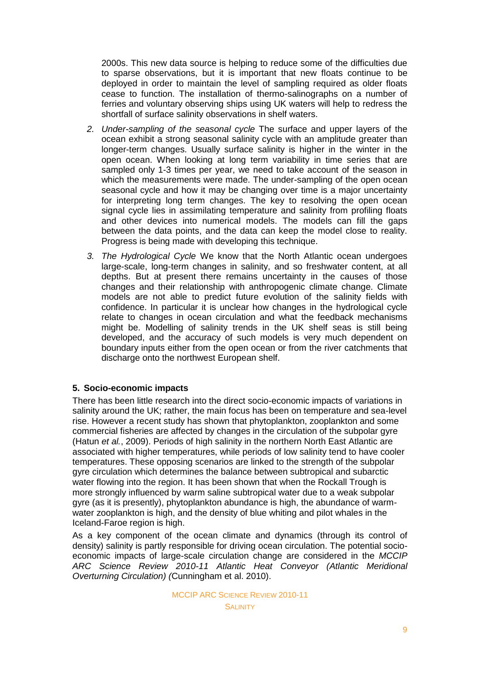2000s. This new data source is helping to reduce some of the difficulties due to sparse observations, but it is important that new floats continue to be deployed in order to maintain the level of sampling required as older floats cease to function. The installation of thermo-salinographs on a number of ferries and voluntary observing ships using UK waters will help to redress the shortfall of surface salinity observations in shelf waters.

- *2. Under-sampling of the seasonal cycle* The surface and upper layers of the ocean exhibit a strong seasonal salinity cycle with an amplitude greater than longer-term changes. Usually surface salinity is higher in the winter in the open ocean. When looking at long term variability in time series that are sampled only 1-3 times per year, we need to take account of the season in which the measurements were made. The under-sampling of the open ocean seasonal cycle and how it may be changing over time is a major uncertainty for interpreting long term changes. The key to resolving the open ocean signal cycle lies in assimilating temperature and salinity from profiling floats and other devices into numerical models. The models can fill the gaps between the data points, and the data can keep the model close to reality. Progress is being made with developing this technique.
- *3. The Hydrological Cycle* We know that the North Atlantic ocean undergoes large-scale, long-term changes in salinity, and so freshwater content, at all depths. But at present there remains uncertainty in the causes of those changes and their relationship with anthropogenic climate change. Climate models are not able to predict future evolution of the salinity fields with confidence. In particular it is unclear how changes in the hydrological cycle relate to changes in ocean circulation and what the feedback mechanisms might be. Modelling of salinity trends in the UK shelf seas is still being developed, and the accuracy of such models is very much dependent on boundary inputs either from the open ocean or from the river catchments that discharge onto the northwest European shelf.

# **5. Socio-economic impacts**

There has been little research into the direct socio-economic impacts of variations in salinity around the UK; rather, the main focus has been on temperature and sea-level rise. However a recent study has shown that phytoplankton, zooplankton and some commercial fisheries are affected by changes in the circulation of the subpolar gyre (Hatun *et al.*, 2009). Periods of high salinity in the northern North East Atlantic are associated with higher temperatures, while periods of low salinity tend to have cooler temperatures. These opposing scenarios are linked to the strength of the subpolar gyre circulation which determines the balance between subtropical and subarctic water flowing into the region. It has been shown that when the Rockall Trough is more strongly influenced by warm saline subtropical water due to a weak subpolar gyre (as it is presently), phytoplankton abundance is high, the abundance of warmwater zooplankton is high, and the density of blue whiting and pilot whales in the Iceland-Faroe region is high.

As a key component of the ocean climate and dynamics (through its control of density) salinity is partly responsible for driving ocean circulation. The potential socioeconomic impacts of large-scale circulation change are considered in the *MCCIP ARC Science Review 2010-11 Atlantic Heat Conveyor (Atlantic Meridional Overturning Circulation) (*Cunningham et al. 2010).